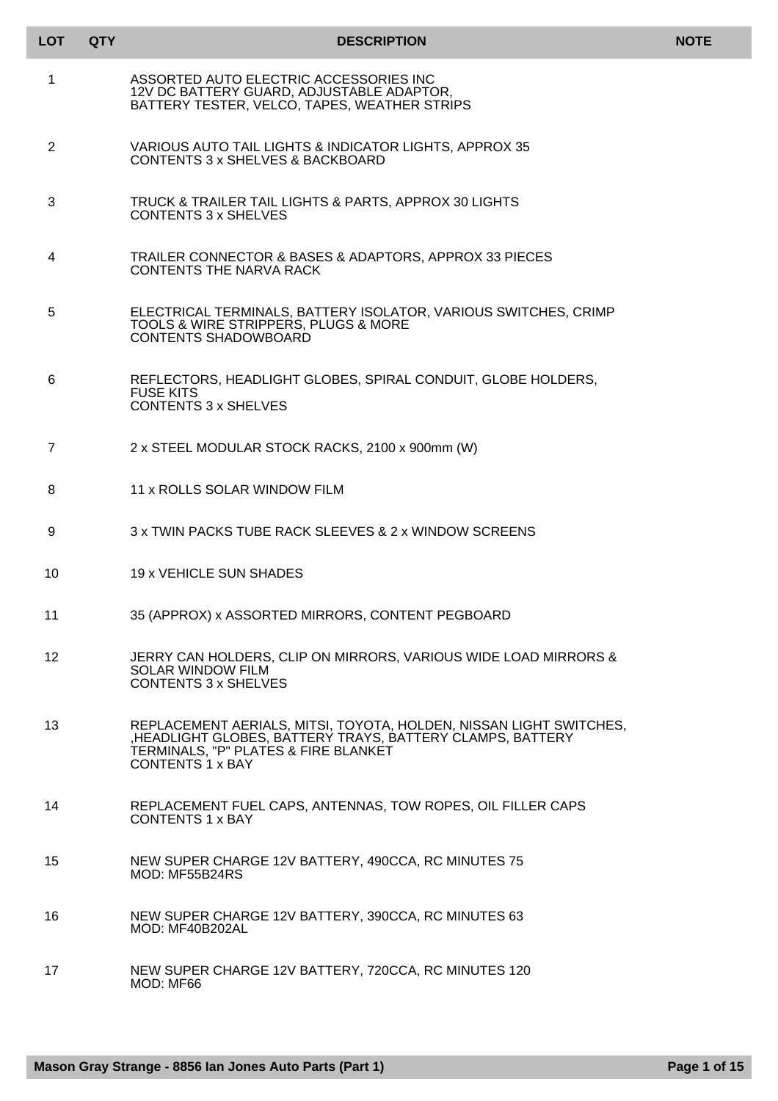| LOT             | <b>QTY</b> | <b>DESCRIPTION</b>                                                                                                                                                                         | <b>NOTE</b> |
|-----------------|------------|--------------------------------------------------------------------------------------------------------------------------------------------------------------------------------------------|-------------|
| 1               |            | ASSORTED AUTO ELECTRIC ACCESSORIES INC<br>12V DC BATTERY GUARD, ADJUSTABLE ADAPTOR,<br>BATTERY TESTER, VELCO, TAPES, WEATHER STRIPS                                                        |             |
| $\overline{2}$  |            | VARIOUS AUTO TAIL LIGHTS & INDICATOR LIGHTS, APPROX 35<br>CONTENTS 3 x SHELVES & BACKBOARD                                                                                                 |             |
| 3               |            | TRUCK & TRAILER TAIL LIGHTS & PARTS, APPROX 30 LIGHTS<br><b>CONTENTS 3 x SHELVES</b>                                                                                                       |             |
| 4               |            | TRAILER CONNECTOR & BASES & ADAPTORS, APPROX 33 PIECES<br>CONTENTS THE NARVA RACK                                                                                                          |             |
| 5               |            | ELECTRICAL TERMINALS, BATTERY ISOLATOR, VARIOUS SWITCHES, CRIMP<br>TOOLS & WIRE STRIPPERS, PLUGS & MORE<br><b>CONTENTS SHADOWBOARD</b>                                                     |             |
| 6               |            | REFLECTORS, HEADLIGHT GLOBES, SPIRAL CONDUIT, GLOBE HOLDERS,<br><b>FUSE KITS</b><br><b>CONTENTS 3 x SHELVES</b>                                                                            |             |
| 7               |            | 2 x STEEL MODULAR STOCK RACKS, 2100 x 900mm (W)                                                                                                                                            |             |
| 8               |            | 11 x ROLLS SOLAR WINDOW FILM                                                                                                                                                               |             |
| 9               |            | 3 x TWIN PACKS TUBE RACK SLEEVES & 2 x WINDOW SCREENS                                                                                                                                      |             |
| 10              |            | 19 x VEHICLE SUN SHADES                                                                                                                                                                    |             |
| 11              |            | 35 (APPROX) x ASSORTED MIRRORS, CONTENT PEGBOARD                                                                                                                                           |             |
| 12 <sup>2</sup> |            | JERRY CAN HOLDERS, CLIP ON MIRRORS, VARIOUS WIDE LOAD MIRRORS &<br><b>SOLAR WINDOW FILM</b><br><b>CONTENTS 3 x SHELVES</b>                                                                 |             |
| 13              |            | REPLACEMENT AERIALS, MITSI, TOYOTA, HOLDEN, NISSAN LIGHT SWITCHES,<br>HEADLIGHT GLOBES, BATTERY TRAYS, BATTERY CLAMPS, BATTERY<br>TERMINALS, "P" PLATES & FIRE BLANKET<br>CONTENTS 1 x BAY |             |
| 14              |            | REPLACEMENT FUEL CAPS, ANTENNAS, TOW ROPES, OIL FILLER CAPS<br><b>CONTENTS 1 x BAY</b>                                                                                                     |             |
| 15              |            | NEW SUPER CHARGE 12V BATTERY, 490CCA, RC MINUTES 75<br>MOD: MF55B24RS                                                                                                                      |             |
| 16              |            | NEW SUPER CHARGE 12V BATTERY, 390CCA, RC MINUTES 63<br><b>MOD: MF40B202AL</b>                                                                                                              |             |
| 17              |            | NEW SUPER CHARGE 12V BATTERY, 720CCA, RC MINUTES 120<br>MOD: MF66                                                                                                                          |             |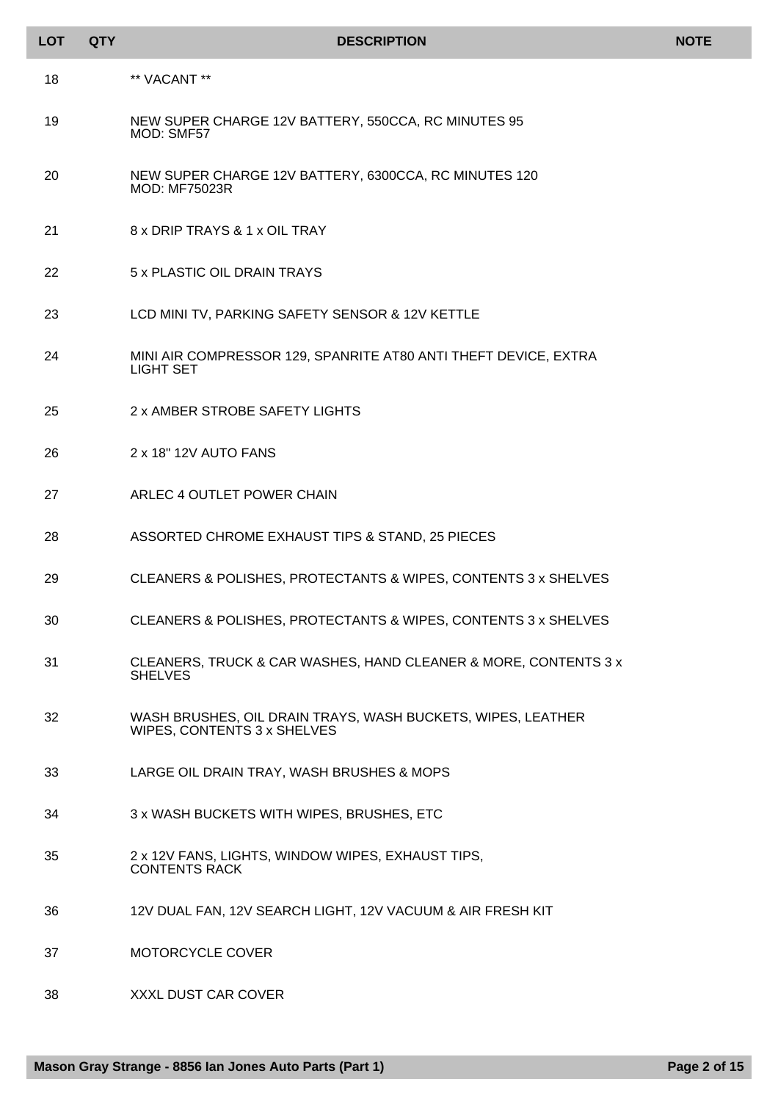| <b>LOT</b> | <b>QTY</b> | <b>DESCRIPTION</b>                                                                         | <b>NOTE</b> |
|------------|------------|--------------------------------------------------------------------------------------------|-------------|
| 18         |            | ** VACANT **                                                                               |             |
| 19         |            | NEW SUPER CHARGE 12V BATTERY, 550CCA, RC MINUTES 95<br>MOD: SMF57                          |             |
| 20         |            | NEW SUPER CHARGE 12V BATTERY, 6300CCA, RC MINUTES 120<br><b>MOD: MF75023R</b>              |             |
| 21         |            | 8 x DRIP TRAYS & 1 x OIL TRAY                                                              |             |
| 22         |            | 5 x PLASTIC OIL DRAIN TRAYS                                                                |             |
| 23         |            | LCD MINI TV, PARKING SAFETY SENSOR & 12V KETTLE                                            |             |
| 24         |            | MINI AIR COMPRESSOR 129, SPANRITE AT80 ANTI THEFT DEVICE, EXTRA<br>LIGHT SET               |             |
| 25         |            | 2 x AMBER STROBE SAFETY LIGHTS                                                             |             |
| 26         |            | 2 x 18" 12V AUTO FANS                                                                      |             |
| 27         |            | ARLEC 4 OUTLET POWER CHAIN                                                                 |             |
| 28         |            | ASSORTED CHROME EXHAUST TIPS & STAND, 25 PIECES                                            |             |
| 29         |            | CLEANERS & POLISHES, PROTECTANTS & WIPES, CONTENTS 3 x SHELVES                             |             |
| 30         |            | CLEANERS & POLISHES, PROTECTANTS & WIPES, CONTENTS 3 x SHELVES                             |             |
| 31         |            | CLEANERS, TRUCK & CAR WASHES, HAND CLEANER & MORE, CONTENTS 3 x<br><b>SHELVES</b>          |             |
| 32         |            | WASH BRUSHES, OIL DRAIN TRAYS, WASH BUCKETS, WIPES, LEATHER<br>WIPES, CONTENTS 3 x SHELVES |             |
| 33         |            | LARGE OIL DRAIN TRAY, WASH BRUSHES & MOPS                                                  |             |
| 34         |            | 3 x WASH BUCKETS WITH WIPES, BRUSHES, ETC                                                  |             |
| 35         |            | 2 x 12V FANS, LIGHTS, WINDOW WIPES, EXHAUST TIPS,<br><b>CONTENTS RACK</b>                  |             |
| 36         |            | 12V DUAL FAN, 12V SEARCH LIGHT, 12V VACUUM & AIR FRESH KIT                                 |             |
| 37         |            | MOTORCYCLE COVER                                                                           |             |
| 38         |            | XXXL DUST CAR COVER                                                                        |             |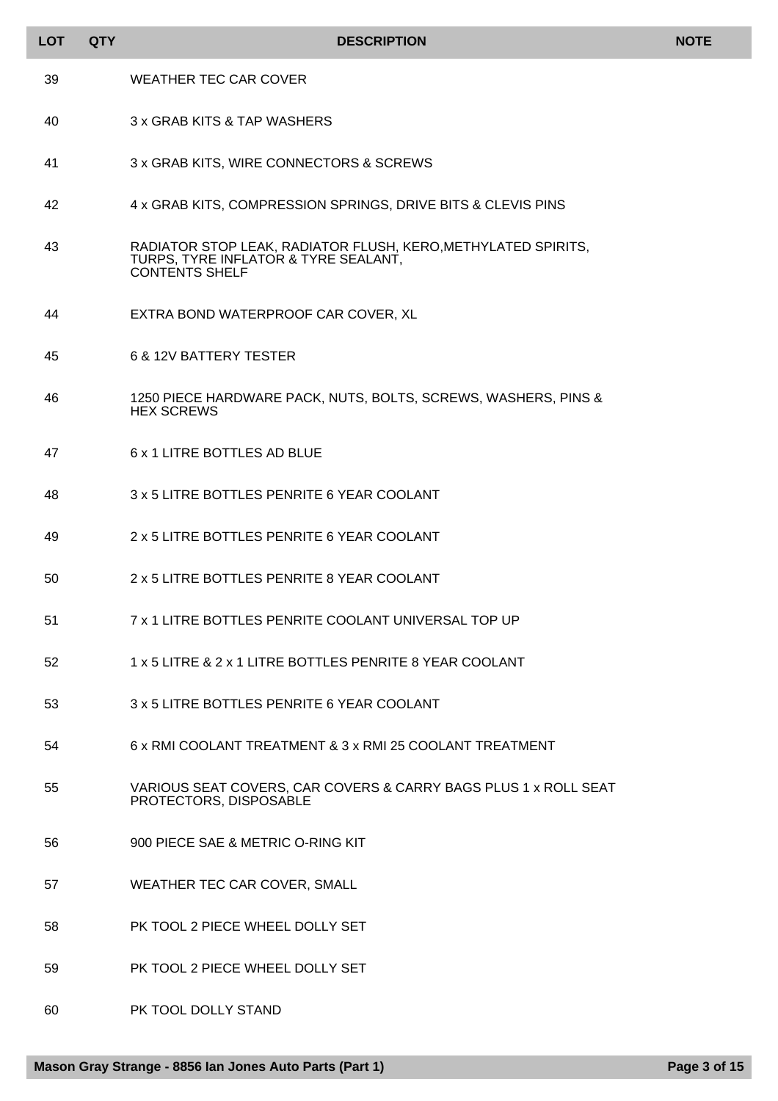| <b>LOT</b> | <b>QTY</b> | <b>DESCRIPTION</b>                                                                                                             | <b>NOTE</b> |
|------------|------------|--------------------------------------------------------------------------------------------------------------------------------|-------------|
| 39         |            | <b>WEATHER TEC CAR COVER</b>                                                                                                   |             |
| 40         |            | 3 x GRAB KITS & TAP WASHERS                                                                                                    |             |
| 41         |            | 3 x GRAB KITS, WIRE CONNECTORS & SCREWS                                                                                        |             |
| 42         |            | 4 x GRAB KITS, COMPRESSION SPRINGS, DRIVE BITS & CLEVIS PINS                                                                   |             |
| 43         |            | RADIATOR STOP LEAK, RADIATOR FLUSH, KERO, METHYLATED SPIRITS,<br>TURPS, TYRE INFLATOR & TYRE SEALANT,<br><b>CONTENTS SHELF</b> |             |
| 44         |            | EXTRA BOND WATERPROOF CAR COVER, XL                                                                                            |             |
| 45         |            | 6 & 12V BATTERY TESTER                                                                                                         |             |
| 46         |            | 1250 PIECE HARDWARE PACK, NUTS, BOLTS, SCREWS, WASHERS, PINS &<br><b>HEX SCREWS</b>                                            |             |
| 47         |            | 6 x 1 LITRE BOTTLES AD BLUE                                                                                                    |             |
| 48         |            | 3 x 5 LITRE BOTTLES PENRITE 6 YEAR COOLANT                                                                                     |             |
| 49         |            | 2 x 5 LITRE BOTTLES PENRITE 6 YEAR COOLANT                                                                                     |             |
| 50         |            | 2 x 5 LITRE BOTTLES PENRITE 8 YEAR COOLANT                                                                                     |             |
| 51         |            | 7 x 1 LITRE BOTTLES PENRITE COOLANT UNIVERSAL TOP UP                                                                           |             |
| 52         |            | 1 x 5 LITRE & 2 x 1 LITRE BOTTLES PENRITE 8 YEAR COOLANT                                                                       |             |
| 53         |            | 3 x 5 LITRE BOTTLES PENRITE 6 YEAR COOLANT                                                                                     |             |
| 54         |            | 6 x RMI COOLANT TREATMENT & 3 x RMI 25 COOLANT TREATMENT                                                                       |             |
| 55         |            | VARIOUS SEAT COVERS, CAR COVERS & CARRY BAGS PLUS 1 x ROLL SEAT<br>PROTECTORS, DISPOSABLE                                      |             |
| 56         |            | 900 PIECE SAE & METRIC O-RING KIT                                                                                              |             |
| 57         |            | WEATHER TEC CAR COVER, SMALL                                                                                                   |             |
| 58         |            | PK TOOL 2 PIECE WHEEL DOLLY SET                                                                                                |             |
| 59         |            | PK TOOL 2 PIECE WHEEL DOLLY SET                                                                                                |             |
| 60         |            | PK TOOL DOLLY STAND                                                                                                            |             |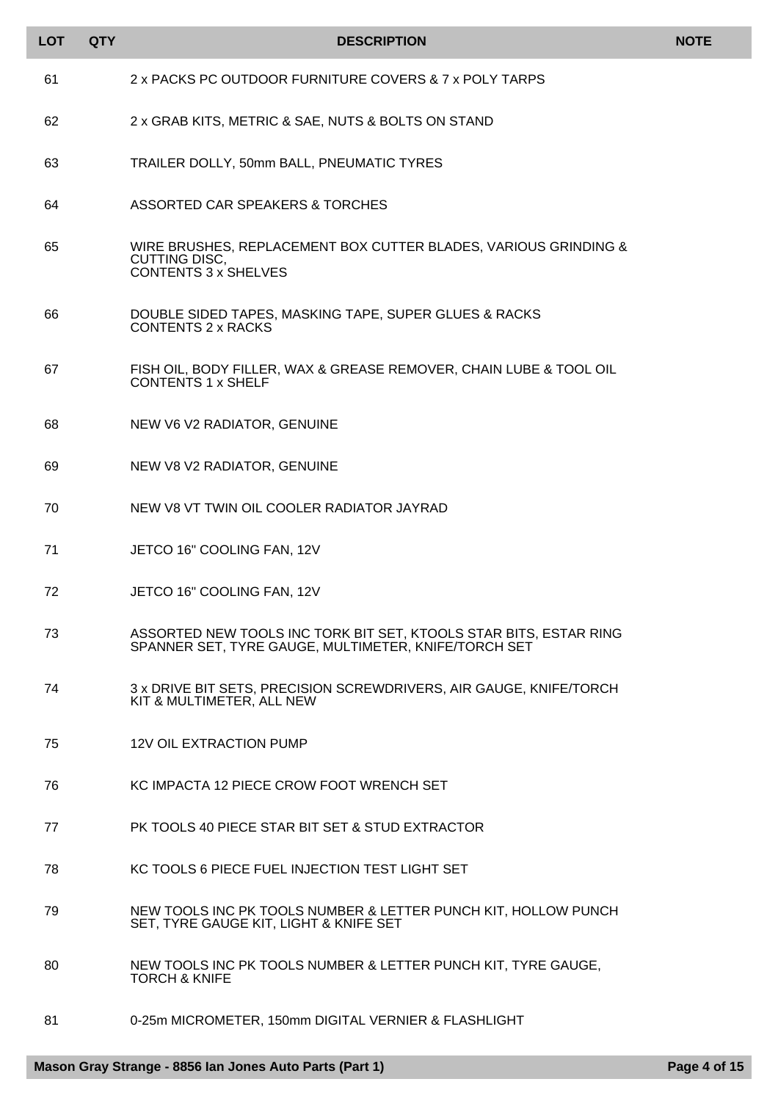| <b>LOT</b> | <b>QTY</b> | <b>DESCRIPTION</b>                                                                                                        | <b>NOTE</b> |
|------------|------------|---------------------------------------------------------------------------------------------------------------------------|-------------|
| 61         |            | 2 x PACKS PC OUTDOOR FURNITURE COVERS & 7 x POLY TARPS                                                                    |             |
| 62         |            | 2 x GRAB KITS, METRIC & SAE, NUTS & BOLTS ON STAND                                                                        |             |
| 63         |            | TRAILER DOLLY, 50mm BALL, PNEUMATIC TYRES                                                                                 |             |
| 64         |            | ASSORTED CAR SPEAKERS & TORCHES                                                                                           |             |
| 65         |            | WIRE BRUSHES, REPLACEMENT BOX CUTTER BLADES, VARIOUS GRINDING &<br><b>CUTTING DISC,</b><br><b>CONTENTS 3 x SHELVES</b>    |             |
| 66         |            | DOUBLE SIDED TAPES, MASKING TAPE, SUPER GLUES & RACKS<br><b>CONTENTS 2 x RACKS</b>                                        |             |
| 67         |            | FISH OIL, BODY FILLER, WAX & GREASE REMOVER, CHAIN LUBE & TOOL OIL<br><b>CONTENTS 1 x SHELF</b>                           |             |
| 68         |            | NEW V6 V2 RADIATOR, GENUINE                                                                                               |             |
| 69         |            | NEW V8 V2 RADIATOR, GENUINE                                                                                               |             |
| 70         |            | NEW V8 VT TWIN OIL COOLER RADIATOR JAYRAD                                                                                 |             |
| 71         |            | JETCO 16" COOLING FAN, 12V                                                                                                |             |
| 72         |            | JETCO 16" COOLING FAN, 12V                                                                                                |             |
| 73         |            | ASSORTED NEW TOOLS INC TORK BIT SET, KTOOLS STAR BITS, ESTAR RING<br>SPANNER SET, TYRE GAUGE, MULTIMETER, KNIFE/TORCH SET |             |
| 74         |            | 3 x DRIVE BIT SETS, PRECISION SCREWDRIVERS, AIR GAUGE, KNIFE/TORCH<br>KIT & MULTIMETER, ALL NEW                           |             |
| 75         |            | <b>12V OIL EXTRACTION PUMP</b>                                                                                            |             |
| 76         |            | KC IMPACTA 12 PIECE CROW FOOT WRENCH SET                                                                                  |             |
| 77         |            | PK TOOLS 40 PIECE STAR BIT SET & STUD EXTRACTOR                                                                           |             |
| 78         |            | KC TOOLS 6 PIECE FUEL INJECTION TEST LIGHT SET                                                                            |             |
| 79         |            | NEW TOOLS INC PK TOOLS NUMBER & LETTER PUNCH KIT, HOLLOW PUNCH<br>SET, TYRE GAUGE KIT, LIGHT & KNIFE SET                  |             |
| 80         |            | NEW TOOLS INC PK TOOLS NUMBER & LETTER PUNCH KIT, TYRE GAUGE,<br><b>TORCH &amp; KNIFE</b>                                 |             |
| 81         |            | 0-25m MICROMETER, 150mm DIGITAL VERNIER & FLASHLIGHT                                                                      |             |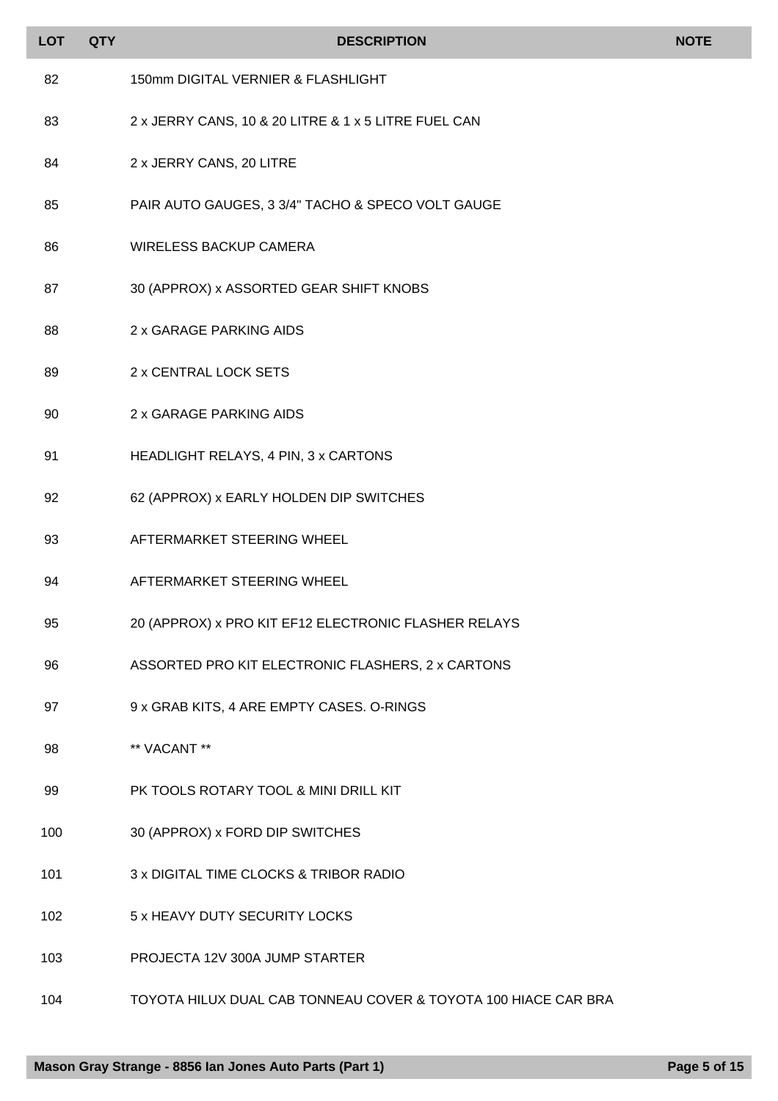| <b>LOT</b> | <b>QTY</b> | <b>DESCRIPTION</b>                                   | <b>NOTE</b> |
|------------|------------|------------------------------------------------------|-------------|
| 82         |            | 150mm DIGITAL VERNIER & FLASHLIGHT                   |             |
| 83         |            | 2 x JERRY CANS, 10 & 20 LITRE & 1 x 5 LITRE FUEL CAN |             |
| 84         |            | 2 x JERRY CANS, 20 LITRE                             |             |
| 85         |            | PAIR AUTO GAUGES, 3 3/4" TACHO & SPECO VOLT GAUGE    |             |
| 86         |            | <b>WIRELESS BACKUP CAMERA</b>                        |             |
| 87         |            | 30 (APPROX) x ASSORTED GEAR SHIFT KNOBS              |             |
| 88         |            | 2 x GARAGE PARKING AIDS                              |             |
| 89         |            | 2 x CENTRAL LOCK SETS                                |             |
| 90         |            | 2 x GARAGE PARKING AIDS                              |             |
| 91         |            | HEADLIGHT RELAYS, 4 PIN, 3 x CARTONS                 |             |
| 92         |            | 62 (APPROX) x EARLY HOLDEN DIP SWITCHES              |             |
| 93         |            | AFTERMARKET STEERING WHEEL                           |             |
| 94         |            | AFTERMARKET STEERING WHEEL                           |             |
| 95         |            | 20 (APPROX) x PRO KIT EF12 ELECTRONIC FLASHER RELAYS |             |
| 96         |            | ASSORTED PRO KIT ELECTRONIC FLASHERS, 2 x CARTONS    |             |
| 97         |            | 9 x GRAB KITS, 4 ARE EMPTY CASES. O-RINGS            |             |
| 98         |            | ** VACANT **                                         |             |
| 99         |            | PK TOOLS ROTARY TOOL & MINI DRILL KIT                |             |
| 100        |            | 30 (APPROX) x FORD DIP SWITCHES                      |             |
| 101        |            | 3 x DIGITAL TIME CLOCKS & TRIBOR RADIO               |             |
| 102        |            | 5 x HEAVY DUTY SECURITY LOCKS                        |             |
| 103        |            | PROJECTA 12V 300A JUMP STARTER                       |             |

TOYOTA HILUX DUAL CAB TONNEAU COVER & TOYOTA 100 HIACE CAR BRA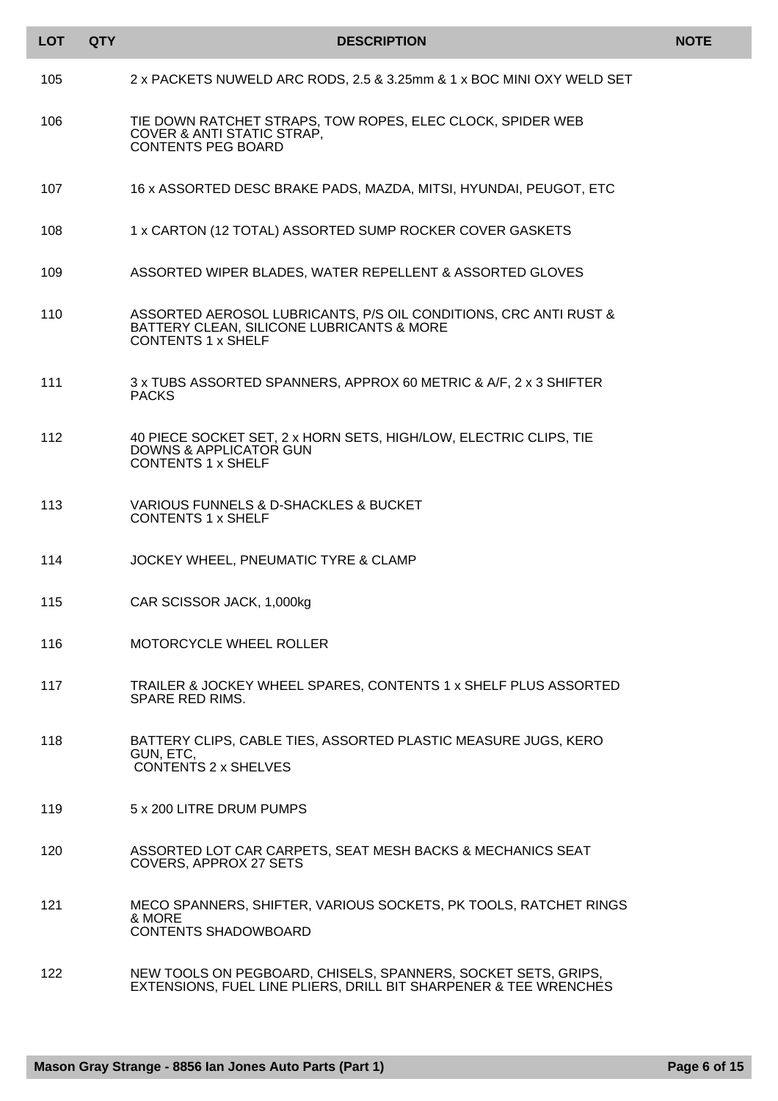| <b>LOT</b> | <b>QTY</b> | <b>DESCRIPTION</b>                                                                                                                         | <b>NOTE</b> |
|------------|------------|--------------------------------------------------------------------------------------------------------------------------------------------|-------------|
| 105        |            | 2 x PACKETS NUWELD ARC RODS, 2.5 & 3.25mm & 1 x BOC MINI OXY WELD SET                                                                      |             |
| 106        |            | TIE DOWN RATCHET STRAPS, TOW ROPES, ELEC CLOCK, SPIDER WEB<br><b>COVER &amp; ANTI STATIC STRAP,</b><br><b>CONTENTS PEG BOARD</b>           |             |
| 107        |            | 16 x ASSORTED DESC BRAKE PADS, MAZDA, MITSI, HYUNDAI, PEUGOT, ETC                                                                          |             |
| 108        |            | 1 x CARTON (12 TOTAL) ASSORTED SUMP ROCKER COVER GASKETS                                                                                   |             |
| 109        |            | ASSORTED WIPER BLADES, WATER REPELLENT & ASSORTED GLOVES                                                                                   |             |
| 110        |            | ASSORTED AEROSOL LUBRICANTS, P/S OIL CONDITIONS, CRC ANTI RUST &<br>BATTERY CLEAN, SILICONE LUBRICANTS & MORE<br><b>CONTENTS 1 x SHELF</b> |             |
| 111        |            | 3 x TUBS ASSORTED SPANNERS, APPROX 60 METRIC & A/F, 2 x 3 SHIFTER<br><b>PACKS</b>                                                          |             |
| 112        |            | 40 PIECE SOCKET SET, 2 x HORN SETS, HIGH/LOW, ELECTRIC CLIPS, TIE<br><b>DOWNS &amp; APPLICATOR GUN</b><br><b>CONTENTS 1 x SHELF</b>        |             |
| 113        |            | <b>VARIOUS FUNNELS &amp; D-SHACKLES &amp; BUCKET</b><br><b>CONTENTS 1 x SHELF</b>                                                          |             |
| 114        |            | JOCKEY WHEEL, PNEUMATIC TYRE & CLAMP                                                                                                       |             |
| 115        |            | CAR SCISSOR JACK, 1,000kg                                                                                                                  |             |
| 116        |            | <b>MOTORCYCLE WHEEL ROLLER</b>                                                                                                             |             |
| 117        |            | TRAILER & JOCKEY WHEEL SPARES, CONTENTS 1 x SHELF PLUS ASSORTED<br><b>SPARE RED RIMS.</b>                                                  |             |
| 118        |            | BATTERY CLIPS, CABLE TIES, ASSORTED PLASTIC MEASURE JUGS, KERO<br>GUN, ETC,<br><b>CONTENTS 2 x SHELVES</b>                                 |             |
| 119        |            | 5 x 200 LITRE DRUM PUMPS                                                                                                                   |             |
| 120        |            | ASSORTED LOT CAR CARPETS, SEAT MESH BACKS & MECHANICS SEAT<br><b>COVERS, APPROX 27 SETS</b>                                                |             |
| 121        |            | MECO SPANNERS, SHIFTER, VARIOUS SOCKETS, PK TOOLS, RATCHET RINGS<br>& MORE<br><b>CONTENTS SHADOWBOARD</b>                                  |             |
| 122        |            | NEW TOOLS ON PEGBOARD, CHISELS, SPANNERS, SOCKET SETS, GRIPS,<br>EXTENSIONS, FUEL LINE PLIERS, DRILL BIT SHARPENER & TEE WRENCHES          |             |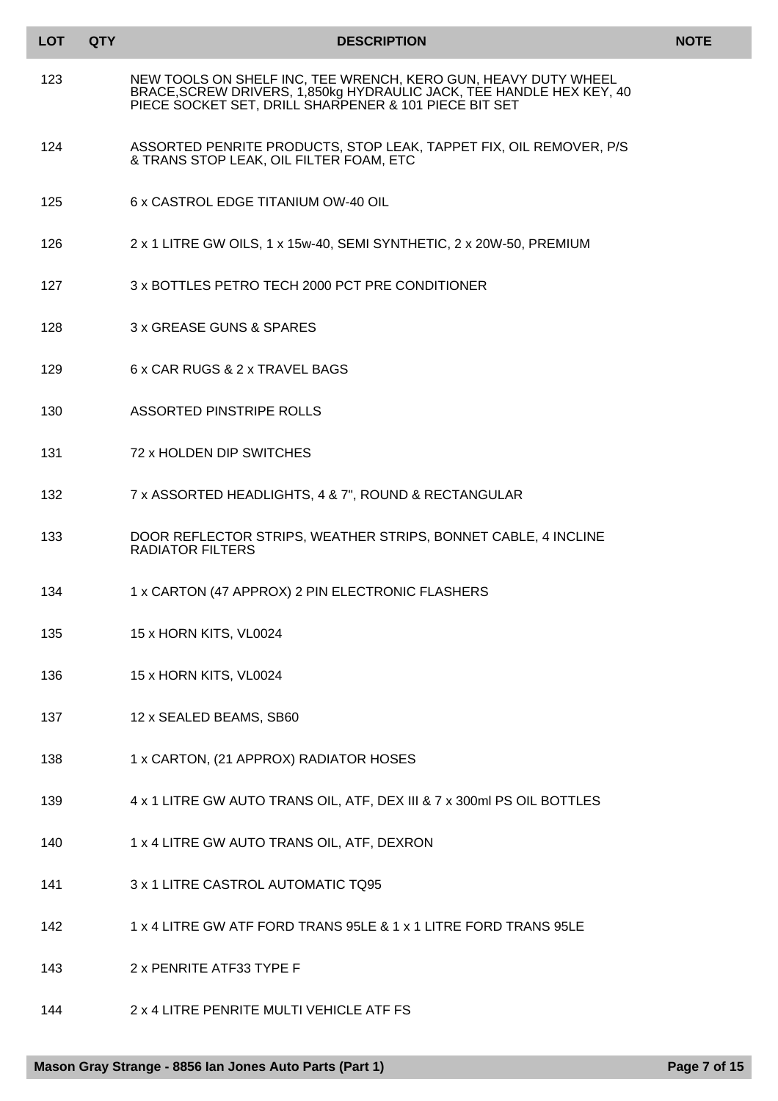| <b>LOT</b> | <b>QTY</b> | <b>DESCRIPTION</b>                                                                                                                                                                              | <b>NOTE</b> |
|------------|------------|-------------------------------------------------------------------------------------------------------------------------------------------------------------------------------------------------|-------------|
| 123        |            | NEW TOOLS ON SHELF INC, TEE WRENCH, KERO GUN, HEAVY DUTY WHEEL<br>BRACE, SCREW DRIVERS, 1,850kg HYDRAULIC JACK, TEE HANDLE HEX KEY, 40<br>PIECE SOCKET SET, DRILL SHARPENER & 101 PIECE BIT SET |             |
| 124        |            | ASSORTED PENRITE PRODUCTS, STOP LEAK, TAPPET FIX, OIL REMOVER, P/S<br>& TRANS STOP LEAK, OIL FILTER FOAM, ETC                                                                                   |             |
| 125        |            | 6 x CASTROL EDGE TITANIUM OW-40 OIL                                                                                                                                                             |             |
| 126        |            | 2 x 1 LITRE GW OILS, 1 x 15w-40, SEMI SYNTHETIC, 2 x 20W-50, PREMIUM                                                                                                                            |             |
| 127        |            | 3 x BOTTLES PETRO TECH 2000 PCT PRE CONDITIONER                                                                                                                                                 |             |
| 128        |            | 3 x GREASE GUNS & SPARES                                                                                                                                                                        |             |
| 129        |            | 6 x CAR RUGS & 2 x TRAVEL BAGS                                                                                                                                                                  |             |
| 130        |            | ASSORTED PINSTRIPE ROLLS                                                                                                                                                                        |             |
| 131        |            | 72 x HOLDEN DIP SWITCHES                                                                                                                                                                        |             |
| 132        |            | 7 x ASSORTED HEADLIGHTS, 4 & 7", ROUND & RECTANGULAR                                                                                                                                            |             |
| 133        |            | DOOR REFLECTOR STRIPS, WEATHER STRIPS, BONNET CABLE, 4 INCLINE<br><b>RADIATOR FILTERS</b>                                                                                                       |             |
| 134        |            | 1 x CARTON (47 APPROX) 2 PIN ELECTRONIC FLASHERS                                                                                                                                                |             |
| 135        |            | 15 x HORN KITS, VL0024                                                                                                                                                                          |             |
| 136        |            | 15 x HORN KITS, VL0024                                                                                                                                                                          |             |
| 137        |            | 12 x SEALED BEAMS, SB60                                                                                                                                                                         |             |
| 138        |            | 1 x CARTON, (21 APPROX) RADIATOR HOSES                                                                                                                                                          |             |
| 139        |            | 4 x 1 LITRE GW AUTO TRANS OIL, ATF, DEX III & 7 x 300ml PS OIL BOTTLES                                                                                                                          |             |
| 140        |            | 1 x 4 LITRE GW AUTO TRANS OIL, ATF, DEXRON                                                                                                                                                      |             |
| 141        |            | 3 x 1 LITRE CASTROL AUTOMATIC TQ95                                                                                                                                                              |             |
| 142        |            | 1 x 4 LITRE GW ATF FORD TRANS 95LE & 1 x 1 LITRE FORD TRANS 95LE                                                                                                                                |             |
| 143        |            | 2 x PENRITE ATF33 TYPE F                                                                                                                                                                        |             |
| 144        |            | 2 x 4 LITRE PENRITE MULTI VEHICLE ATF FS                                                                                                                                                        |             |
|            |            |                                                                                                                                                                                                 |             |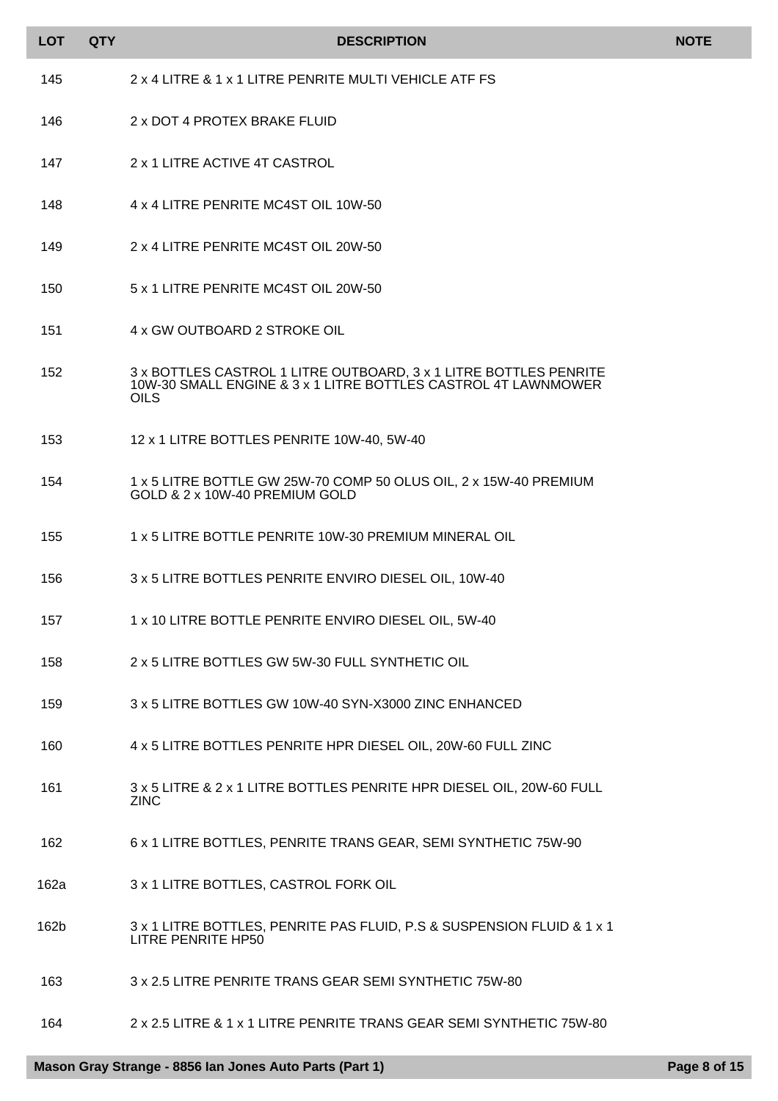| <b>LOT</b> | <b>QTY</b> | <b>DESCRIPTION</b>                                                                                                                                 | <b>NOTE</b> |
|------------|------------|----------------------------------------------------------------------------------------------------------------------------------------------------|-------------|
| 145        |            | 2 x 4 LITRE & 1 x 1 LITRE PENRITE MULTI VEHICLE ATF FS                                                                                             |             |
| 146        |            | 2 x DOT 4 PROTEX BRAKE FLUID                                                                                                                       |             |
| 147        |            | 2 x 1 LITRE ACTIVE 4T CASTROL                                                                                                                      |             |
| 148        |            | 4 x 4 LITRE PENRITE MC4ST OIL 10W-50                                                                                                               |             |
| 149        |            | 2 x 4 LITRE PENRITE MC4ST OIL 20W-50                                                                                                               |             |
| 150        |            | 5 x 1 LITRE PENRITE MC4ST OIL 20W-50                                                                                                               |             |
| 151        |            | 4 x GW OUTBOARD 2 STROKE OIL                                                                                                                       |             |
| 152        |            | 3 x BOTTLES CASTROL 1 LITRE OUTBOARD, 3 x 1 LITRE BOTTLES PENRITE<br>10W-30 SMALL ENGINE & 3 x 1 LITRE BOTTLES CASTROL 4T LAWNMOWER<br><b>OILS</b> |             |
| 153        |            | 12 x 1 LITRE BOTTLES PENRITE 10W-40, 5W-40                                                                                                         |             |
| 154        |            | 1 x 5 LITRE BOTTLE GW 25W-70 COMP 50 OLUS OIL, 2 x 15W-40 PREMIUM<br>GOLD & 2 x 10W-40 PREMIUM GOLD                                                |             |
| 155        |            | 1 x 5 LITRE BOTTLE PENRITE 10W-30 PREMIUM MINERAL OIL                                                                                              |             |
| 156        |            | 3 x 5 LITRE BOTTLES PENRITE ENVIRO DIESEL OIL, 10W-40                                                                                              |             |
| 157        |            | 1 x 10 LITRE BOTTLE PENRITE ENVIRO DIESEL OIL, 5W-40                                                                                               |             |
| 158        |            | 2 x 5 LITRE BOTTLES GW 5W-30 FULL SYNTHETIC OIL                                                                                                    |             |
| 159        |            | 3 x 5 LITRE BOTTLES GW 10W-40 SYN-X3000 ZINC ENHANCED                                                                                              |             |
| 160        |            | 4 x 5 LITRE BOTTLES PENRITE HPR DIESEL OIL, 20W-60 FULL ZINC                                                                                       |             |
| 161        |            | 3 x 5 LITRE & 2 x 1 LITRE BOTTLES PENRITE HPR DIESEL OIL, 20W-60 FULL<br><b>ZINC</b>                                                               |             |
| 162        |            | 6 x 1 LITRE BOTTLES, PENRITE TRANS GEAR, SEMI SYNTHETIC 75W-90                                                                                     |             |
| 162a       |            | 3 x 1 LITRE BOTTLES, CASTROL FORK OIL                                                                                                              |             |
| 162b       |            | 3 x 1 LITRE BOTTLES, PENRITE PAS FLUID, P.S & SUSPENSION FLUID & 1 x 1<br>LITRE PENRITE HP50                                                       |             |
| 163        |            | 3 x 2.5 LITRE PENRITE TRANS GEAR SEMI SYNTHETIC 75W-80                                                                                             |             |
| 164        |            | 2 x 2.5 LITRE & 1 x 1 LITRE PENRITE TRANS GEAR SEMI SYNTHETIC 75W-80                                                                               |             |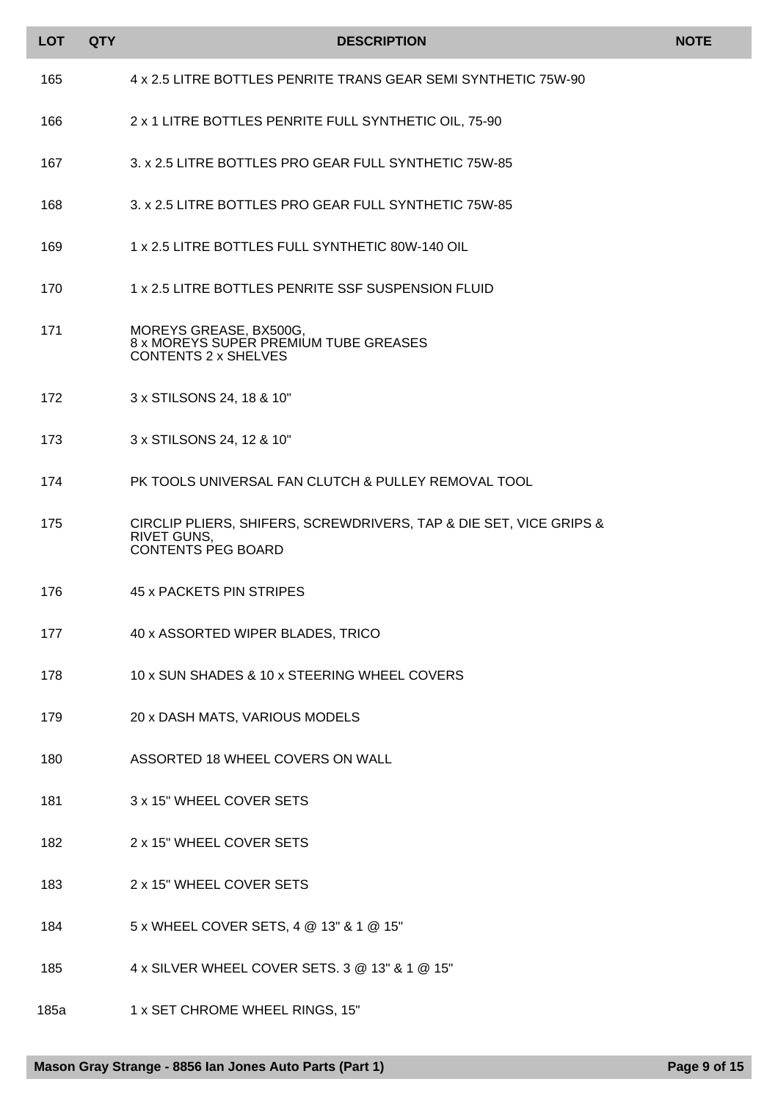| <b>LOT</b> | <b>QTY</b> | <b>DESCRIPTION</b>                                                                                                    | <b>NOTE</b> |
|------------|------------|-----------------------------------------------------------------------------------------------------------------------|-------------|
| 165        |            | 4 x 2.5 LITRE BOTTLES PENRITE TRANS GEAR SEMI SYNTHETIC 75W-90                                                        |             |
| 166        |            | 2 x 1 LITRE BOTTLES PENRITE FULL SYNTHETIC OIL, 75-90                                                                 |             |
| 167        |            | 3. x 2.5 LITRE BOTTLES PRO GEAR FULL SYNTHETIC 75W-85                                                                 |             |
| 168        |            | 3. x 2.5 LITRE BOTTLES PRO GEAR FULL SYNTHETIC 75W-85                                                                 |             |
| 169        |            | 1 x 2.5 LITRE BOTTLES FULL SYNTHETIC 80W-140 OIL                                                                      |             |
| 170        |            | 1 x 2.5 LITRE BOTTLES PENRITE SSF SUSPENSION FLUID                                                                    |             |
| 171        |            | MOREYS GREASE, BX500G,<br>8 x MOREYS SUPER PREMIUM TUBE GREASES<br><b>CONTENTS 2 x SHELVES</b>                        |             |
| 172        |            | 3 x STILSONS 24, 18 & 10"                                                                                             |             |
| 173        |            | 3 x STILSONS 24, 12 & 10"                                                                                             |             |
| 174        |            | PK TOOLS UNIVERSAL FAN CLUTCH & PULLEY REMOVAL TOOL                                                                   |             |
| 175        |            | CIRCLIP PLIERS, SHIFERS, SCREWDRIVERS, TAP & DIE SET, VICE GRIPS &<br><b>RIVET GUNS,</b><br><b>CONTENTS PEG BOARD</b> |             |
| 176        |            | 45 x PACKETS PIN STRIPES                                                                                              |             |
| 177        |            | 40 x ASSORTED WIPER BLADES, TRICO                                                                                     |             |
| 178        |            | 10 x SUN SHADES & 10 x STEERING WHEEL COVERS                                                                          |             |
| 179        |            | 20 x DASH MATS, VARIOUS MODELS                                                                                        |             |
| 180        |            | ASSORTED 18 WHEEL COVERS ON WALL                                                                                      |             |
| 181        |            | 3 x 15" WHEEL COVER SETS                                                                                              |             |
| 182        |            | 2 x 15" WHEEL COVER SETS                                                                                              |             |
| 183        |            | 2 x 15" WHEEL COVER SETS                                                                                              |             |
| 184        |            | 5 x WHEEL COVER SETS, 4 @ 13" & 1 @ 15"                                                                               |             |
| 185        |            | 4 x SILVER WHEEL COVER SETS. 3 @ 13" & 1 @ 15"                                                                        |             |
| 185a       |            | 1 x SET CHROME WHEEL RINGS, 15"                                                                                       |             |
|            |            |                                                                                                                       |             |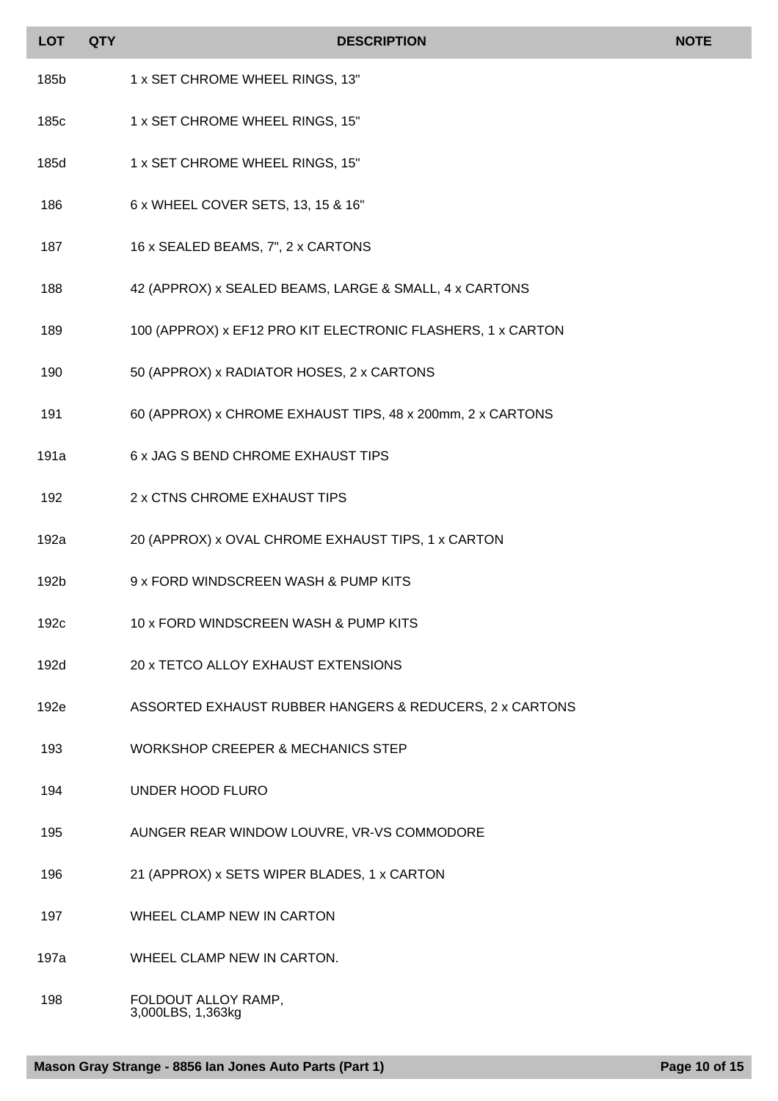| <b>LOT</b>       | <b>QTY</b> | <b>DESCRIPTION</b>                                          | <b>NOTE</b> |
|------------------|------------|-------------------------------------------------------------|-------------|
| 185b             |            | 1 x SET CHROME WHEEL RINGS, 13"                             |             |
| 185c             |            | 1 x SET CHROME WHEEL RINGS, 15"                             |             |
| 185d             |            | 1 x SET CHROME WHEEL RINGS, 15"                             |             |
| 186              |            | 6 x WHEEL COVER SETS, 13, 15 & 16"                          |             |
| 187              |            | 16 x SEALED BEAMS, 7", 2 x CARTONS                          |             |
| 188              |            | 42 (APPROX) x SEALED BEAMS, LARGE & SMALL, 4 x CARTONS      |             |
| 189              |            | 100 (APPROX) x EF12 PRO KIT ELECTRONIC FLASHERS, 1 x CARTON |             |
| 190              |            | 50 (APPROX) x RADIATOR HOSES, 2 x CARTONS                   |             |
| 191              |            | 60 (APPROX) x CHROME EXHAUST TIPS, 48 x 200mm, 2 x CARTONS  |             |
| 191a             |            | 6 x JAG S BEND CHROME EXHAUST TIPS                          |             |
| 192              |            | 2 x CTNS CHROME EXHAUST TIPS                                |             |
| 192a             |            | 20 (APPROX) x OVAL CHROME EXHAUST TIPS, 1 x CARTON          |             |
| 192b             |            | 9 x FORD WINDSCREEN WASH & PUMP KITS                        |             |
| 192 <sub>c</sub> |            | 10 x FORD WINDSCREEN WASH & PUMP KITS                       |             |
| 192d             |            | 20 x TETCO ALLOY EXHAUST EXTENSIONS                         |             |
| 192e             |            | ASSORTED EXHAUST RUBBER HANGERS & REDUCERS, 2 x CARTONS     |             |
| 193              |            | <b>WORKSHOP CREEPER &amp; MECHANICS STEP</b>                |             |
| 194              |            | <b>UNDER HOOD FLURO</b>                                     |             |
| 195              |            | AUNGER REAR WINDOW LOUVRE, VR-VS COMMODORE                  |             |
| 196              |            | 21 (APPROX) x SETS WIPER BLADES, 1 x CARTON                 |             |
| 197              |            | WHEEL CLAMP NEW IN CARTON                                   |             |
| 197a             |            | WHEEL CLAMP NEW IN CARTON.                                  |             |

198 FOLDOUT ALLOY RAMP, 3,000LBS, 1,363kg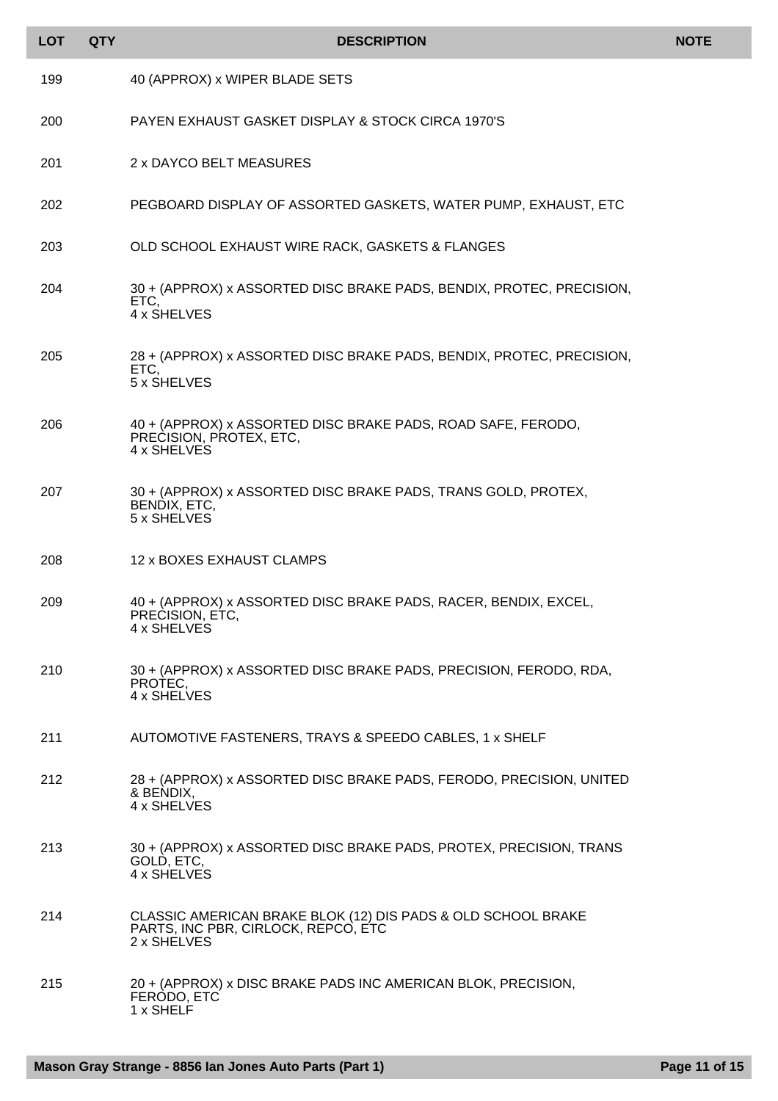| <b>LOT</b> | <b>QTY</b> | <b>DESCRIPTION</b>                                                                                                 | <b>NOTE</b> |
|------------|------------|--------------------------------------------------------------------------------------------------------------------|-------------|
| 199        |            | 40 (APPROX) x WIPER BLADE SETS                                                                                     |             |
| 200        |            | PAYEN EXHAUST GASKET DISPLAY & STOCK CIRCA 1970'S                                                                  |             |
| 201        |            | 2 x DAYCO BELT MEASURES                                                                                            |             |
| 202        |            | PEGBOARD DISPLAY OF ASSORTED GASKETS, WATER PUMP, EXHAUST, ETC                                                     |             |
| 203        |            | OLD SCHOOL EXHAUST WIRE RACK, GASKETS & FLANGES                                                                    |             |
| 204        |            | 30 + (APPROX) x ASSORTED DISC BRAKE PADS, BENDIX, PROTEC, PRECISION,<br>ETC,<br>4 x SHELVES                        |             |
| 205        |            | 28 + (APPROX) x ASSORTED DISC BRAKE PADS, BENDIX, PROTEC, PRECISION,<br>ETC.<br>5 x SHELVES                        |             |
| 206        |            | 40 + (APPROX) x ASSORTED DISC BRAKE PADS, ROAD SAFE, FERODO,<br>PRECISION, PROTEX, ETC,<br>4 x SHELVES             |             |
| 207        |            | 30 + (APPROX) x ASSORTED DISC BRAKE PADS, TRANS GOLD, PROTEX,<br>BENDIX, ETC,<br>5 x SHELVES                       |             |
| 208        |            | 12 x BOXES EXHAUST CLAMPS                                                                                          |             |
| 209        |            | 40 + (APPROX) x ASSORTED DISC BRAKE PADS, RACER, BENDIX, EXCEL,<br>PRECISION, ETC,<br>4 x SHELVES                  |             |
| 210        |            | 30 + (APPROX) x ASSORTED DISC BRAKE PADS, PRECISION, FERODO, RDA,<br>PROTEC.<br>4 x SHELVES                        |             |
| 211        |            | AUTOMOTIVE FASTENERS, TRAYS & SPEEDO CABLES, 1 x SHELF                                                             |             |
| 212        |            | 28 + (APPROX) x ASSORTED DISC BRAKE PADS, FERODO, PRECISION, UNITED<br>& BENDIX,<br>4 x SHELVES                    |             |
| 213        |            | 30 + (APPROX) x ASSORTED DISC BRAKE PADS, PROTEX, PRECISION, TRANS<br>GOLD, ETC,<br>4 x SHELVES                    |             |
| 214        |            | CLASSIC AMERICAN BRAKE BLOK (12) DIS PADS & OLD SCHOOL BRAKE<br>PARTS, INC PBR, CIRLOCK, REPCO, ETC<br>2 x SHELVES |             |
| 215        |            | 20 + (APPROX) x DISC BRAKE PADS INC AMERICAN BLOK, PRECISION,<br>FERODO, ETC<br>1 x SHELF                          |             |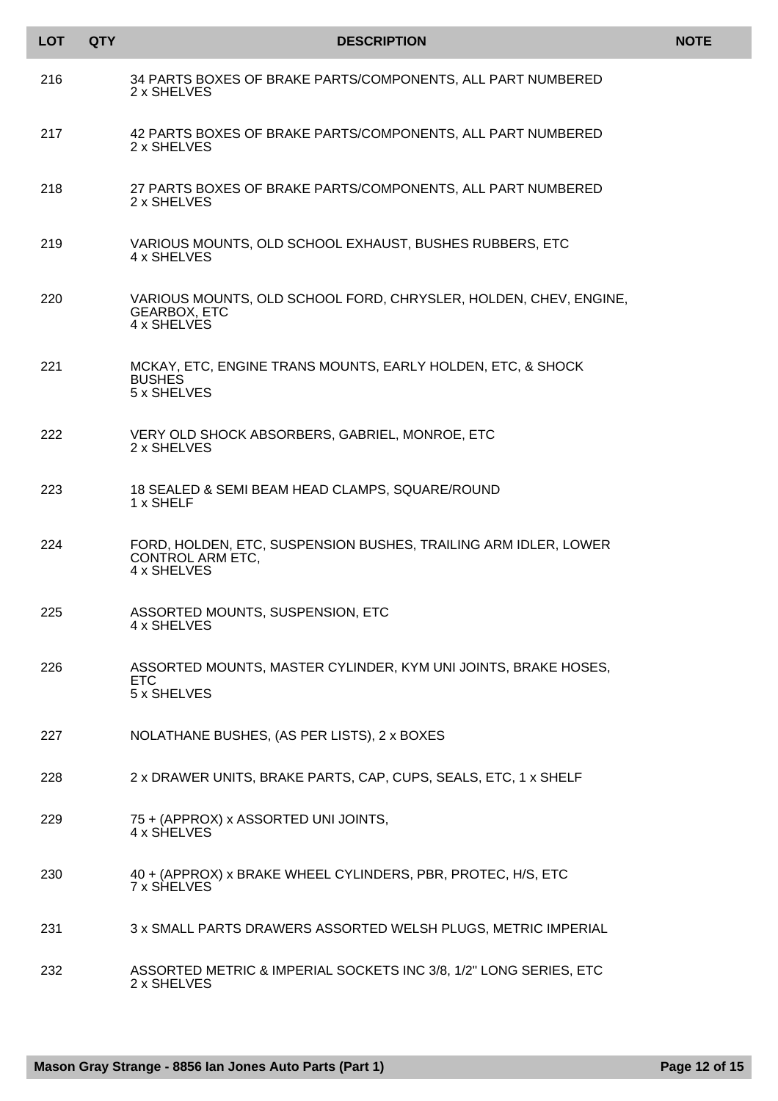| <b>LOT</b> | <b>QTY</b> | <b>DESCRIPTION</b>                                                                                        | <b>NOTE</b> |
|------------|------------|-----------------------------------------------------------------------------------------------------------|-------------|
| 216        |            | 34 PARTS BOXES OF BRAKE PARTS/COMPONENTS, ALL PART NUMBERED<br>2 x SHELVES                                |             |
| 217        |            | 42 PARTS BOXES OF BRAKE PARTS/COMPONENTS, ALL PART NUMBERED<br>2 x SHELVES                                |             |
| 218        |            | 27 PARTS BOXES OF BRAKE PARTS/COMPONENTS, ALL PART NUMBERED<br>2 x SHELVES                                |             |
| 219        |            | VARIOUS MOUNTS, OLD SCHOOL EXHAUST, BUSHES RUBBERS, ETC<br>4 x SHELVES                                    |             |
| 220        |            | VARIOUS MOUNTS, OLD SCHOOL FORD, CHRYSLER, HOLDEN, CHEV, ENGINE,<br><b>GEARBOX, ETC</b><br>4 x SHELVES    |             |
| 221        |            | MCKAY, ETC, ENGINE TRANS MOUNTS, EARLY HOLDEN, ETC, & SHOCK<br><b>BUSHES</b><br>5 x SHELVES               |             |
| 222        |            | VERY OLD SHOCK ABSORBERS, GABRIEL, MONROE, ETC<br>2 x SHELVES                                             |             |
| 223        |            | 18 SEALED & SEMI BEAM HEAD CLAMPS, SQUARE/ROUND<br>1 x SHELF                                              |             |
| 224        |            | FORD, HOLDEN, ETC, SUSPENSION BUSHES, TRAILING ARM IDLER, LOWER<br><b>CONTROL ARM ETC.</b><br>4 x SHELVES |             |
| 225        |            | ASSORTED MOUNTS, SUSPENSION, ETC<br>4 x SHELVES                                                           |             |
| 226        |            | ASSORTED MOUNTS, MASTER CYLINDER, KYM UNI JOINTS, BRAKE HOSES,<br>ETC<br>5 x SHELVES                      |             |
| 227        |            | NOLATHANE BUSHES, (AS PER LISTS), 2 x BOXES                                                               |             |
| 228        |            | 2 x DRAWER UNITS, BRAKE PARTS, CAP, CUPS, SEALS, ETC, 1 x SHELF                                           |             |
| 229        |            | 75 + (APPROX) x ASSORTED UNI JOINTS,<br>4 x SHELVES                                                       |             |
| 230        |            | 40 + (APPROX) x BRAKE WHEEL CYLINDERS, PBR, PROTEC, H/S, ETC<br>7 x SHELVES                               |             |
| 231        |            | 3 x SMALL PARTS DRAWERS ASSORTED WELSH PLUGS, METRIC IMPERIAL                                             |             |
| 232        |            | ASSORTED METRIC & IMPERIAL SOCKETS INC 3/8, 1/2" LONG SERIES, ETC<br>2 x SHELVES                          |             |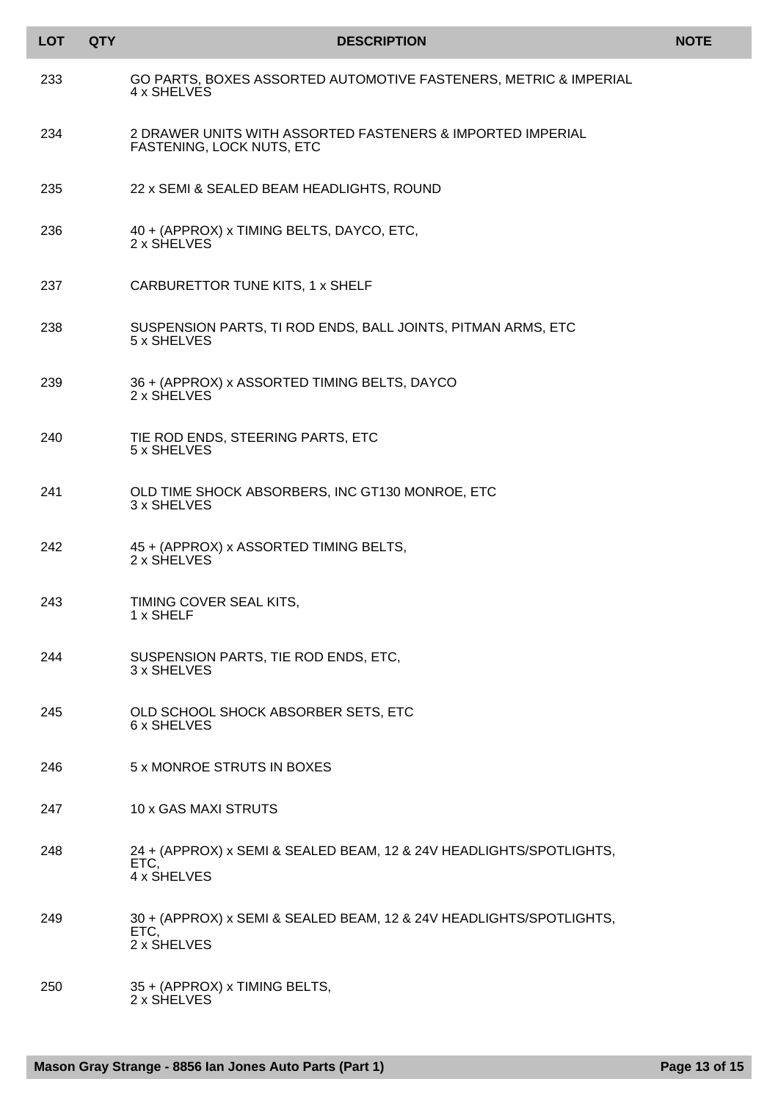| <b>LOT</b> | <b>QTY</b> | <b>DESCRIPTION</b>                                                                         | <b>NOTE</b> |
|------------|------------|--------------------------------------------------------------------------------------------|-------------|
| 233        |            | GO PARTS, BOXES ASSORTED AUTOMOTIVE FASTENERS, METRIC & IMPERIAL<br>4 x SHELVES            |             |
| 234        |            | 2 DRAWER UNITS WITH ASSORTED FASTENERS & IMPORTED IMPERIAL<br>FASTENING, LOCK NUTS, ETC    |             |
| 235        |            | 22 x SEMI & SEALED BEAM HEADLIGHTS, ROUND                                                  |             |
| 236        |            | 40 + (APPROX) x TIMING BELTS, DAYCO, ETC,<br>2 x SHELVES                                   |             |
| 237        |            | CARBURETTOR TUNE KITS, 1 x SHELF                                                           |             |
| 238        |            | SUSPENSION PARTS, TI ROD ENDS, BALL JOINTS, PITMAN ARMS, ETC<br>5 x SHELVES                |             |
| 239        |            | 36 + (APPROX) x ASSORTED TIMING BELTS, DAYCO<br>2 x SHELVES                                |             |
| 240        |            | TIE ROD ENDS, STEERING PARTS, ETC<br>5 x SHELVES                                           |             |
| 241        |            | OLD TIME SHOCK ABSORBERS, INC GT130 MONROE, ETC<br>3 x SHELVES                             |             |
| 242        |            | 45 + (APPROX) x ASSORTED TIMING BELTS,<br>2 x SHELVES                                      |             |
| 243        |            | TIMING COVER SEAL KITS,<br>1 x SHELF                                                       |             |
| 244        |            | SUSPENSION PARTS, TIE ROD ENDS, ETC,<br>3 x SHELVES                                        |             |
| 245        |            | OLD SCHOOL SHOCK ABSORBER SETS, ETC<br>6 x SHELVES                                         |             |
| 246        |            | 5 x MONROE STRUTS IN BOXES                                                                 |             |
| 247        |            | 10 x GAS MAXI STRUTS                                                                       |             |
| 248        |            | 24 + (APPROX) x SEMI & SEALED BEAM, 12 & 24V HEADLIGHTS/SPOTLIGHTS,<br>ETC.<br>4 x SHELVES |             |
| 249        |            | 30 + (APPROX) x SEMI & SEALED BEAM, 12 & 24V HEADLIGHTS/SPOTLIGHTS,<br>ETC,<br>2 x SHELVES |             |
| 250        |            | 35 + (APPROX) x TIMING BELTS,<br>2 x SHELVES                                               |             |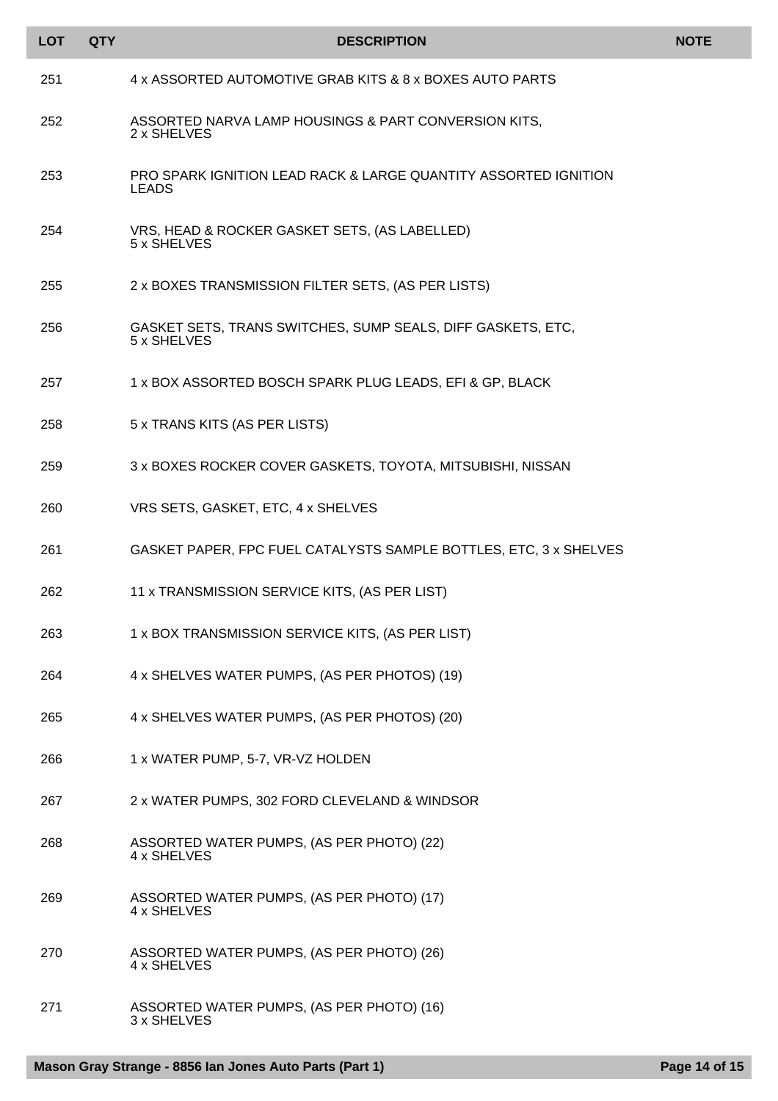| <b>LOT</b> | <b>QTY</b> | <b>DESCRIPTION</b>                                                              | <b>NOTE</b> |
|------------|------------|---------------------------------------------------------------------------------|-------------|
| 251        |            | 4 x ASSORTED AUTOMOTIVE GRAB KITS & 8 x BOXES AUTO PARTS                        |             |
| 252        |            | ASSORTED NARVA LAMP HOUSINGS & PART CONVERSION KITS,<br>2 x SHELVES             |             |
| 253        |            | PRO SPARK IGNITION LEAD RACK & LARGE QUANTITY ASSORTED IGNITION<br><b>LEADS</b> |             |
| 254        |            | VRS, HEAD & ROCKER GASKET SETS, (AS LABELLED)<br>5 x SHELVES                    |             |
| 255        |            | 2 x BOXES TRANSMISSION FILTER SETS, (AS PER LISTS)                              |             |
| 256        |            | GASKET SETS, TRANS SWITCHES, SUMP SEALS, DIFF GASKETS, ETC,<br>5 x SHELVES      |             |
| 257        |            | 1 x BOX ASSORTED BOSCH SPARK PLUG LEADS, EFI & GP, BLACK                        |             |
| 258        |            | 5 x TRANS KITS (AS PER LISTS)                                                   |             |
| 259        |            | 3 x BOXES ROCKER COVER GASKETS, TOYOTA, MITSUBISHI, NISSAN                      |             |
| 260        |            | VRS SETS, GASKET, ETC, 4 x SHELVES                                              |             |
| 261        |            | GASKET PAPER, FPC FUEL CATALYSTS SAMPLE BOTTLES, ETC, 3 x SHELVES               |             |
| 262        |            | 11 x TRANSMISSION SERVICE KITS, (AS PER LIST)                                   |             |
| 263        |            | 1 x BOX TRANSMISSION SERVICE KITS, (AS PER LIST)                                |             |
| 264        |            | 4 x SHELVES WATER PUMPS, (AS PER PHOTOS) (19)                                   |             |
| 265        |            | 4 x SHELVES WATER PUMPS, (AS PER PHOTOS) (20)                                   |             |
| 266        |            | 1 x WATER PUMP, 5-7, VR-VZ HOLDEN                                               |             |
| 267        |            | 2 x WATER PUMPS, 302 FORD CLEVELAND & WINDSOR                                   |             |
| 268        |            | ASSORTED WATER PUMPS, (AS PER PHOTO) (22)<br>4 x SHELVES                        |             |
| 269        |            | ASSORTED WATER PUMPS, (AS PER PHOTO) (17)<br>4 x SHELVES                        |             |
| 270        |            | ASSORTED WATER PUMPS, (AS PER PHOTO) (26)<br>4 x SHELVES                        |             |
| 271        |            | ASSORTED WATER PUMPS, (AS PER PHOTO) (16)<br>3 x SHELVES                        |             |